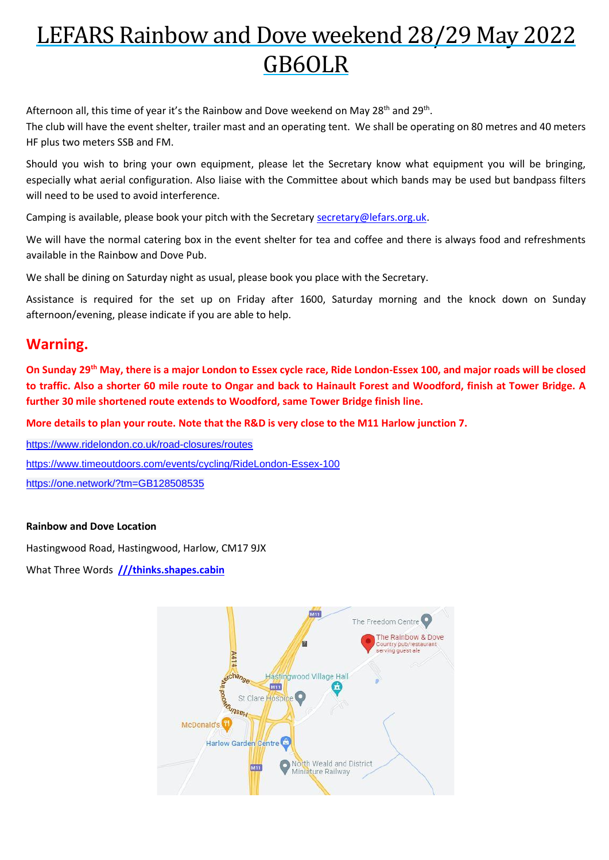## LEFARS Rainbow and Dove weekend 28/29 May 2022 GB6OLR

Afternoon all, this time of year it's the Rainbow and Dove weekend on May 28<sup>th</sup> and 29<sup>th</sup>.

The club will have the event shelter, trailer mast and an operating tent. We shall be operating on 80 metres and 40 meters HF plus two meters SSB and FM.

Should you wish to bring your own equipment, please let the Secretary know what equipment you will be bringing, especially what aerial configuration. Also liaise with the Committee about which bands may be used but bandpass filters will need to be used to avoid interference.

Camping is available, please book your pitch with the Secretary [secretary@lefars.org.uk.](mailto:secretary@lefars.org.uk)

We will have the normal catering box in the event shelter for tea and coffee and there is always food and refreshments available in the Rainbow and Dove Pub.

We shall be dining on Saturday night as usual, please book you place with the Secretary.

Assistance is required for the set up on Friday after 1600, Saturday morning and the knock down on Sunday afternoon/evening, please indicate if you are able to help.

## **Warning.**

**On Sunday 29th May, there is a major London to Essex cycle race, Ride London-Essex 100, and major roads will be closed to traffic. Also a shorter 60 mile route to Ongar and back to Hainault Forest and Woodford, finish at Tower Bridge. A further 30 mile shortened route extends to Woodford, same Tower Bridge finish line.**

**More details to plan your route. Note that the R&D is very close to the M11 Harlow junction 7.**

[https://www.ridelondon.co.uk/road-closures/routes](https://www.ridelondon.co.uk/road-closures/routes?fbclid=IwAR1U0jmPglXWV-jkUwEpa7qcC4eEvVVt68NPNXExsAXvmnW7O1SzL43SIQQ) <https://www.timeoutdoors.com/events/cycling/RideLondon-Essex-100> <https://one.network/?tm=GB128508535>

## **Rainbow and Dove Location**

Hastingwood Road, Hastingwood, Harlow, CM17 9JX

What Three Words **[///thinks.shapes.cabin](https://what3words.com/thinks.shapes.cabin)**